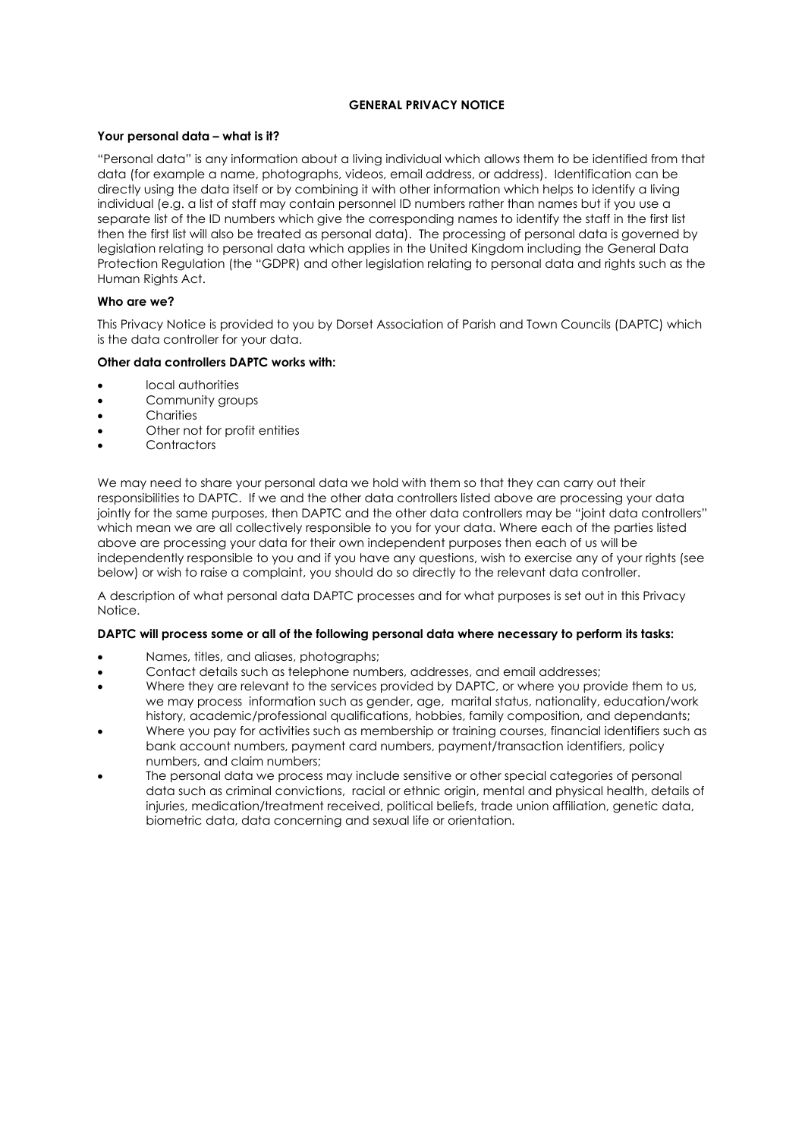# **GENERAL PRIVACY NOTICE**

## **Your personal data – what is it?**

"Personal data" is any information about a living individual which allows them to be identified from that data (for example a name, photographs, videos, email address, or address). Identification can be directly using the data itself or by combining it with other information which helps to identify a living individual (e.g. a list of staff may contain personnel ID numbers rather than names but if you use a separate list of the ID numbers which give the corresponding names to identify the staff in the first list then the first list will also be treated as personal data). The processing of personal data is governed by legislation relating to personal data which applies in the United Kingdom including the General Data Protection Regulation (the "GDPR) and other legislation relating to personal data and rights such as the Human Rights Act.

# **Who are we?**

This Privacy Notice is provided to you by Dorset Association of Parish and Town Councils (DAPTC) which is the data controller for your data.

### **Other data controllers DAPTC works with:**

- local authorities
- Community groups
- Charities
- Other not for profit entities
- Contractors

We may need to share your personal data we hold with them so that they can carry out their responsibilities to DAPTC. If we and the other data controllers listed above are processing your data jointly for the same purposes, then DAPTC and the other data controllers may be "joint data controllers" which mean we are all collectively responsible to you for your data. Where each of the parties listed above are processing your data for their own independent purposes then each of us will be independently responsible to you and if you have any questions, wish to exercise any of your rights (see below) or wish to raise a complaint, you should do so directly to the relevant data controller.

A description of what personal data DAPTC processes and for what purposes is set out in this Privacy Notice.

# **DAPTC will process some or all of the following personal data where necessary to perform its tasks:**

- Names, titles, and aliases, photographs;
- Contact details such as telephone numbers, addresses, and email addresses;
- Where they are relevant to the services provided by DAPTC, or where you provide them to us, we may process information such as gender, age, marital status, nationality, education/work history, academic/professional qualifications, hobbies, family composition, and dependants;
- Where you pay for activities such as membership or training courses, financial identifiers such as bank account numbers, payment card numbers, payment/transaction identifiers, policy numbers, and claim numbers;
- The personal data we process may include sensitive or other special categories of personal data such as criminal convictions, racial or ethnic origin, mental and physical health, details of injuries, medication/treatment received, political beliefs, trade union affiliation, genetic data, biometric data, data concerning and sexual life or orientation.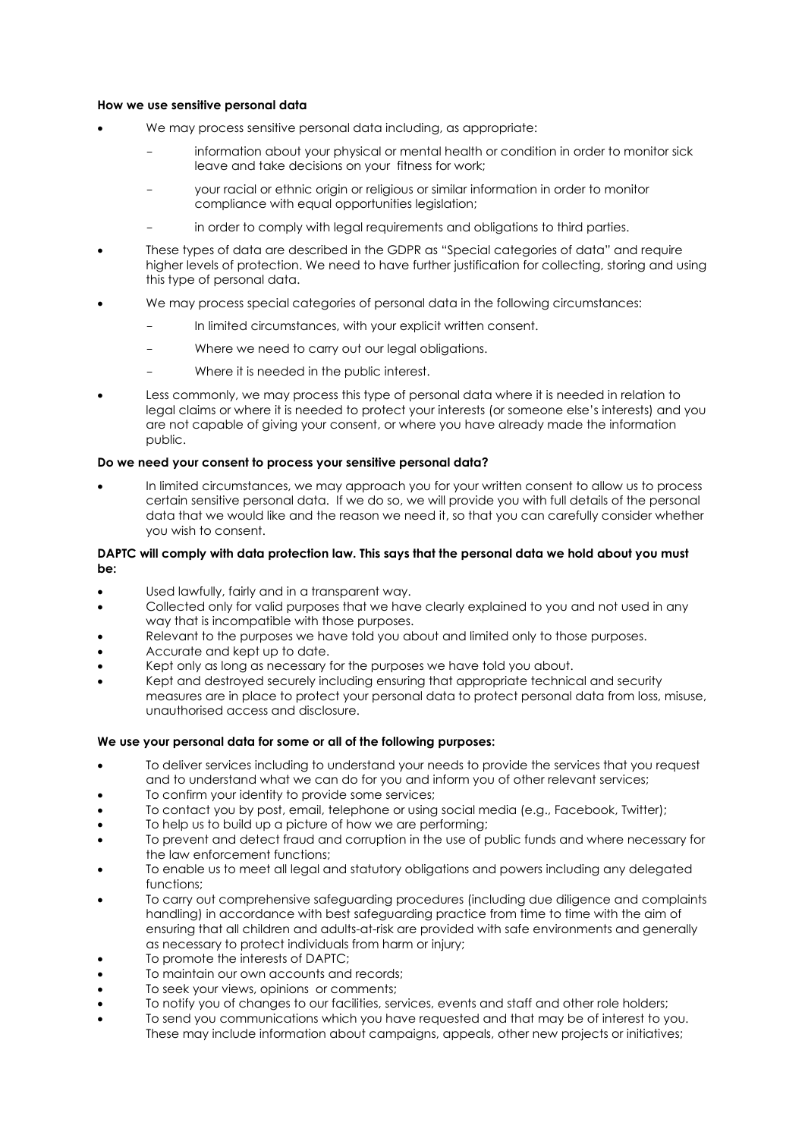## **How we use sensitive personal data**

- We may process sensitive personal data including, as appropriate:
	- information about your physical or mental health or condition in order to monitor sick leave and take decisions on your fitness for work;
	- your racial or ethnic origin or religious or similar information in order to monitor compliance with equal opportunities legislation;
	- in order to comply with legal requirements and obligations to third parties.
- These types of data are described in the GDPR as "Special categories of data" and require higher levels of protection. We need to have further justification for collecting, storing and using this type of personal data.
- We may process special categories of personal data in the following circumstances:
	- In limited circumstances, with your explicit written consent.
	- Where we need to carry out our legal obligations.
	- Where it is needed in the public interest.
- Less commonly, we may process this type of personal data where it is needed in relation to legal claims or where it is needed to protect your interests (or someone else's interests) and you are not capable of giving your consent, or where you have already made the information public.

# **Do we need your consent to process your sensitive personal data?**

• In limited circumstances, we may approach you for your written consent to allow us to process certain sensitive personal data. If we do so, we will provide you with full details of the personal data that we would like and the reason we need it, so that you can carefully consider whether you wish to consent.

## **DAPTC will comply with data protection law. This says that the personal data we hold about you must be:**

- Used lawfully, fairly and in a transparent way.
- Collected only for valid purposes that we have clearly explained to you and not used in any way that is incompatible with those purposes.
- Relevant to the purposes we have told you about and limited only to those purposes.
- Accurate and kept up to date.
- Kept only as long as necessary for the purposes we have told you about.
- Kept and destroyed securely including ensuring that appropriate technical and security measures are in place to protect your personal data to protect personal data from loss, misuse, unauthorised access and disclosure.

# **We use your personal data for some or all of the following purposes:**

- To deliver services including to understand your needs to provide the services that you request and to understand what we can do for you and inform you of other relevant services;
- To confirm your identity to provide some services;
- To contact you by post, email, telephone or using social media (e.g., Facebook, Twitter);
- To help us to build up a picture of how we are performing;
- To prevent and detect fraud and corruption in the use of public funds and where necessary for the law enforcement functions;
- To enable us to meet all legal and statutory obligations and powers including any delegated functions;
- To carry out comprehensive safeguarding procedures (including due diligence and complaints handling) in accordance with best safeguarding practice from time to time with the aim of ensuring that all children and adults-at-risk are provided with safe environments and generally as necessary to protect individuals from harm or injury;
- To promote the interests of DAPTC;
- To maintain our own accounts and records;
- To seek your views, opinions or comments;
- To notify you of changes to our facilities, services, events and staff and other role holders;
- To send you communications which you have requested and that may be of interest to you. These may include information about campaigns, appeals, other new projects or initiatives;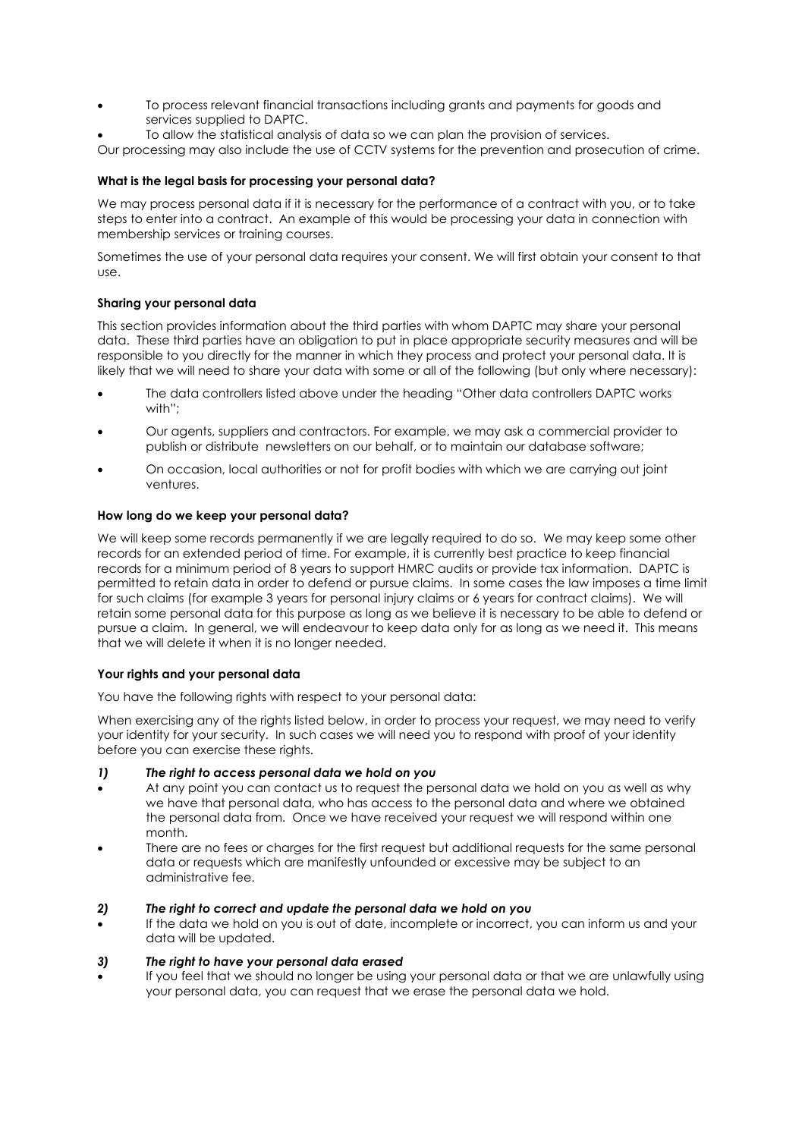- To process relevant financial transactions including grants and payments for goods and services supplied to DAPTC.
- To allow the statistical analysis of data so we can plan the provision of services.

Our processing may also include the use of CCTV systems for the prevention and prosecution of crime.

## **What is the legal basis for processing your personal data?**

We may process personal data if it is necessary for the performance of a contract with you, or to take steps to enter into a contract. An example of this would be processing your data in connection with membership services or training courses.

Sometimes the use of your personal data requires your consent. We will first obtain your consent to that use.

### **Sharing your personal data**

This section provides information about the third parties with whom DAPTC may share your personal data. These third parties have an obligation to put in place appropriate security measures and will be responsible to you directly for the manner in which they process and protect your personal data. It is likely that we will need to share your data with some or all of the following (but only where necessary):

- The data controllers listed above under the heading "Other data controllers DAPTC works with";
- Our agents, suppliers and contractors. For example, we may ask a commercial provider to publish or distribute newsletters on our behalf, or to maintain our database software;
- On occasion, local authorities or not for profit bodies with which we are carrying out joint ventures.

### **How long do we keep your personal data?**

We will keep some records permanently if we are legally required to do so. We may keep some other records for an extended period of time. For example, it is currently best practice to keep financial records for a minimum period of 8 years to support HMRC audits or provide tax information. DAPTC is permitted to retain data in order to defend or pursue claims. In some cases the law imposes a time limit for such claims (for example 3 years for personal injury claims or 6 years for contract claims). We will retain some personal data for this purpose as long as we believe it is necessary to be able to defend or pursue a claim. In general, we will endeavour to keep data only for as long as we need it. This means that we will delete it when it is no longer needed.

#### **Your rights and your personal data**

You have the following rights with respect to your personal data:

When exercising any of the rights listed below, in order to process your request, we may need to verify your identity for your security. In such cases we will need you to respond with proof of your identity before you can exercise these rights.

#### *1) The right to access personal data we hold on you*

- At any point you can contact us to request the personal data we hold on you as well as why we have that personal data, who has access to the personal data and where we obtained the personal data from. Once we have received your request we will respond within one month.
- There are no fees or charges for the first request but additional requests for the same personal data or requests which are manifestly unfounded or excessive may be subject to an administrative fee.

### *2) The right to correct and update the personal data we hold on you*

If the data we hold on you is out of date, incomplete or incorrect, you can inform us and your data will be updated.

#### *3) The right to have your personal data erased*

If you feel that we should no longer be using your personal data or that we are unlawfully using your personal data, you can request that we erase the personal data we hold.